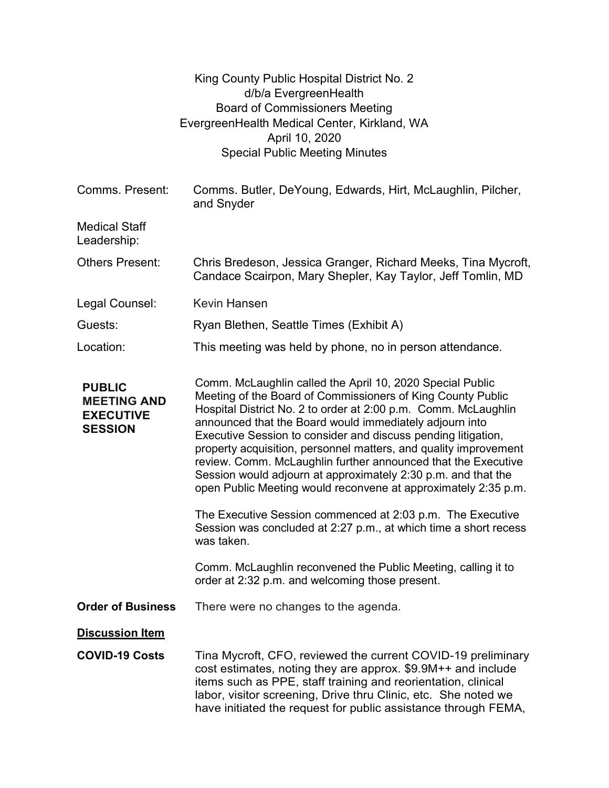|                                                                           | King County Public Hospital District No. 2<br>d/b/a EvergreenHealth<br><b>Board of Commissioners Meeting</b><br>EvergreenHealth Medical Center, Kirkland, WA<br>April 10, 2020                                                                                                                                                                                                                                                                                                                                                                                                                 |
|---------------------------------------------------------------------------|------------------------------------------------------------------------------------------------------------------------------------------------------------------------------------------------------------------------------------------------------------------------------------------------------------------------------------------------------------------------------------------------------------------------------------------------------------------------------------------------------------------------------------------------------------------------------------------------|
|                                                                           | <b>Special Public Meeting Minutes</b>                                                                                                                                                                                                                                                                                                                                                                                                                                                                                                                                                          |
| Comms. Present:                                                           | Comms. Butler, DeYoung, Edwards, Hirt, McLaughlin, Pilcher,<br>and Snyder                                                                                                                                                                                                                                                                                                                                                                                                                                                                                                                      |
| <b>Medical Staff</b><br>Leadership:                                       |                                                                                                                                                                                                                                                                                                                                                                                                                                                                                                                                                                                                |
| <b>Others Present:</b>                                                    | Chris Bredeson, Jessica Granger, Richard Meeks, Tina Mycroft,<br>Candace Scairpon, Mary Shepler, Kay Taylor, Jeff Tomlin, MD                                                                                                                                                                                                                                                                                                                                                                                                                                                                   |
| Legal Counsel:                                                            | <b>Kevin Hansen</b>                                                                                                                                                                                                                                                                                                                                                                                                                                                                                                                                                                            |
| Guests:                                                                   | Ryan Blethen, Seattle Times (Exhibit A)                                                                                                                                                                                                                                                                                                                                                                                                                                                                                                                                                        |
| Location:                                                                 | This meeting was held by phone, no in person attendance.                                                                                                                                                                                                                                                                                                                                                                                                                                                                                                                                       |
| <b>PUBLIC</b><br><b>MEETING AND</b><br><b>EXECUTIVE</b><br><b>SESSION</b> | Comm. McLaughlin called the April 10, 2020 Special Public<br>Meeting of the Board of Commissioners of King County Public<br>Hospital District No. 2 to order at 2:00 p.m. Comm. McLaughlin<br>announced that the Board would immediately adjourn into<br>Executive Session to consider and discuss pending litigation,<br>property acquisition, personnel matters, and quality improvement<br>review. Comm. McLaughlin further announced that the Executive<br>Session would adjourn at approximately 2:30 p.m. and that the<br>open Public Meeting would reconvene at approximately 2:35 p.m. |
|                                                                           | The Executive Session commenced at 2:03 p.m. The Executive<br>Session was concluded at 2:27 p.m., at which time a short recess<br>was taken.                                                                                                                                                                                                                                                                                                                                                                                                                                                   |
|                                                                           | Comm. McLaughlin reconvened the Public Meeting, calling it to<br>order at 2:32 p.m. and welcoming those present.                                                                                                                                                                                                                                                                                                                                                                                                                                                                               |
| <b>Order of Business</b>                                                  | There were no changes to the agenda.                                                                                                                                                                                                                                                                                                                                                                                                                                                                                                                                                           |
| <b>Discussion Item</b>                                                    |                                                                                                                                                                                                                                                                                                                                                                                                                                                                                                                                                                                                |
| <b>COVID-19 Costs</b>                                                     | Tina Mycroft, CFO, reviewed the current COVID-19 preliminary<br>cost estimates, noting they are approx. \$9.9M++ and include<br>items such as PPE, staff training and reorientation, clinical<br>labor, visitor screening, Drive thru Clinic, etc. She noted we<br>have initiated the request for public assistance through FEMA,                                                                                                                                                                                                                                                              |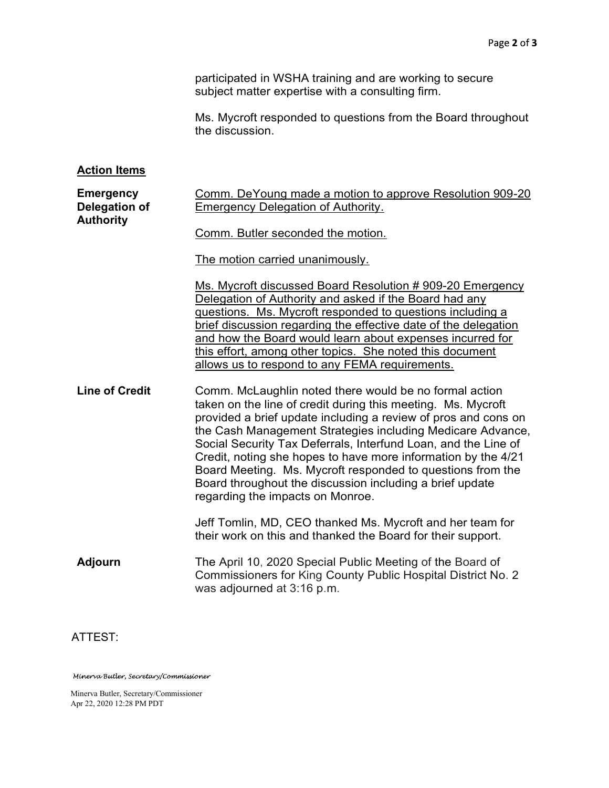participated in WSHA training and are working to secure subject matter expertise with a consulting firm.

Ms. Mycroft responded to questions from the Board throughout the discussion.

## **Action Items**

| <b>Emergency</b><br>Delegation of<br><b>Authority</b> | Comm. DeYoung made a motion to approve Resolution 909-20<br><b>Emergency Delegation of Authority.</b>                                                                                                                                                                                                                                                                                                                                                                                                                                                   |
|-------------------------------------------------------|---------------------------------------------------------------------------------------------------------------------------------------------------------------------------------------------------------------------------------------------------------------------------------------------------------------------------------------------------------------------------------------------------------------------------------------------------------------------------------------------------------------------------------------------------------|
|                                                       | Comm. Butler seconded the motion.                                                                                                                                                                                                                                                                                                                                                                                                                                                                                                                       |
|                                                       | The motion carried unanimously.                                                                                                                                                                                                                                                                                                                                                                                                                                                                                                                         |
|                                                       | Ms. Mycroft discussed Board Resolution # 909-20 Emergency<br>Delegation of Authority and asked if the Board had any<br>questions. Ms. Mycroft responded to questions including a<br>brief discussion regarding the effective date of the delegation<br>and how the Board would learn about expenses incurred for<br>this effort, among other topics. She noted this document<br>allows us to respond to any FEMA requirements.                                                                                                                          |
| <b>Line of Credit</b>                                 | Comm. McLaughlin noted there would be no formal action<br>taken on the line of credit during this meeting. Ms. Mycroft<br>provided a brief update including a review of pros and cons on<br>the Cash Management Strategies including Medicare Advance,<br>Social Security Tax Deferrals, Interfund Loan, and the Line of<br>Credit, noting she hopes to have more information by the 4/21<br>Board Meeting. Ms. Mycroft responded to questions from the<br>Board throughout the discussion including a brief update<br>regarding the impacts on Monroe. |
|                                                       | Jeff Tomlin, MD, CEO thanked Ms. Mycroft and her team for<br>their work on this and thanked the Board for their support.                                                                                                                                                                                                                                                                                                                                                                                                                                |
| <b>Adjourn</b>                                        | The April 10, 2020 Special Public Meeting of the Board of<br>Commissioners for King County Public Hospital District No. 2<br>was adjourned at 3:16 p.m.                                                                                                                                                                                                                                                                                                                                                                                                 |
| ATTEST:                                               |                                                                                                                                                                                                                                                                                                                                                                                                                                                                                                                                                         |

Minerva Butler, Secretary/Commissioner

Minerva Butler, Secretary/Commissioner Apr 22, 2020 12:28 PM PDT